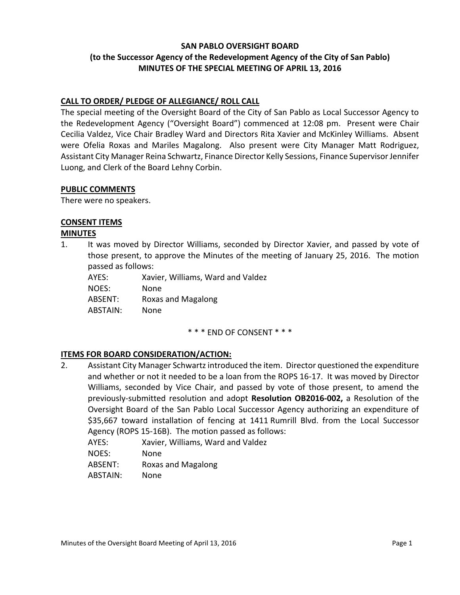# **SAN PABLO OVERSIGHT BOARD (to the Successor Agency of the Redevelopment Agency of the City of San Pablo) MINUTES OF THE SPECIAL MEETING OF APRIL 13, 2016**

## **CALL TO ORDER/ PLEDGE OF ALLEGIANCE/ ROLL CALL**

The special meeting of the Oversight Board of the City of San Pablo as Local Successor Agency to the Redevelopment Agency ("Oversight Board") commenced at 12:08 pm. Present were Chair Cecilia Valdez, Vice Chair Bradley Ward and Directors Rita Xavier and McKinley Williams. Absent were Ofelia Roxas and Mariles Magalong. Also present were City Manager Matt Rodriguez, Assistant City Manager Reina Schwartz, Finance Director Kelly Sessions, Finance Supervisor Jennifer Luong, and Clerk of the Board Lehny Corbin.

#### **PUBLIC COMMENTS**

There were no speakers.

### **CONSENT ITEMS**

#### **MINUTES**

1. It was moved by Director Williams, seconded by Director Xavier, and passed by vote of those present, to approve the Minutes of the meeting of January 25, 2016. The motion passed as follows:

AYES: Xavier, Williams, Ward and Valdez NOES: None ABSENT: Roxas and Magalong ABSTAIN: None

\* \* \* END OF CONSENT \* \* \*

#### **ITEMS FOR BOARD CONSIDERATION/ACTION:**

- 2. Assistant City Manager Schwartz introduced the item. Director questioned the expenditure and whether or not it needed to be a loan from the ROPS 16-17. It was moved by Director Williams, seconded by Vice Chair, and passed by vote of those present, to amend the previously-submitted resolution and adopt **Resolution OB2016-002,** a Resolution of the Oversight Board of the San Pablo Local Successor Agency authorizing an expenditure of \$35,667 toward installation of fencing at 1411 Rumrill Blvd. from the Local Successor Agency (ROPS 15-16B). The motion passed as follows:
	- AYES: Xavier, Williams, Ward and Valdez
	- NOES: None
	- ABSENT: Roxas and Magalong
	- ABSTAIN: None